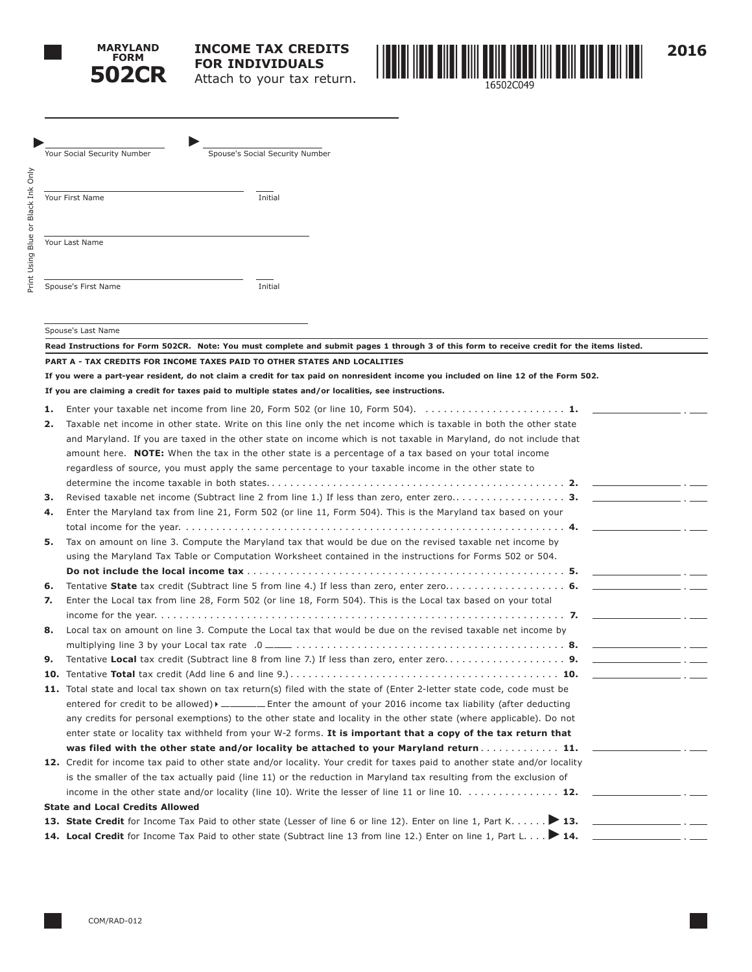

Print Using Blue or Black Ink Only

Print Using Blue or Black Ink Only



|    | Spouse's Social Security Number<br>Your Social Security Number                                                                              |
|----|---------------------------------------------------------------------------------------------------------------------------------------------|
|    |                                                                                                                                             |
|    |                                                                                                                                             |
|    | Your First Name<br>Initial                                                                                                                  |
|    |                                                                                                                                             |
|    |                                                                                                                                             |
|    | Your Last Name                                                                                                                              |
|    |                                                                                                                                             |
|    |                                                                                                                                             |
|    | Spouse's First Name<br>Initial                                                                                                              |
|    |                                                                                                                                             |
|    |                                                                                                                                             |
|    | Spouse's Last Name                                                                                                                          |
|    | Read Instructions for Form 502CR. Note: You must complete and submit pages 1 through 3 of this form to receive credit for the items listed. |
|    | PART A - TAX CREDITS FOR INCOME TAXES PAID TO OTHER STATES AND LOCALITIES                                                                   |
|    | If you were a part-year resident, do not claim a credit for tax paid on nonresident income you included on line 12 of the Form 502.         |
|    | If you are claiming a credit for taxes paid to multiple states and/or localities, see instructions.                                         |
| 1. | Enter your taxable net income from line 20, Form 502 (or line 10, Form 504). $\ldots \ldots \ldots \ldots \ldots \ldots$                    |
| 2. | Taxable net income in other state. Write on this line only the net income which is taxable in both the other state                          |
|    | and Maryland. If you are taxed in the other state on income which is not taxable in Maryland, do not include that                           |
|    | amount here. <b>NOTE:</b> When the tax in the other state is a percentage of a tax based on your total income                               |
|    | regardless of source, you must apply the same percentage to your taxable income in the other state to                                       |
|    |                                                                                                                                             |
| з. | <u> 대표 대표 대표 대표 대표 대표 대표 대표 대표</u>                                                                                                          |
| 4. | Enter the Maryland tax from line 21, Form 502 (or line 11, Form 504). This is the Maryland tax based on your                                |
|    |                                                                                                                                             |
| 5. | Tax on amount on line 3. Compute the Maryland tax that would be due on the revised taxable net income by                                    |
|    | using the Maryland Tax Table or Computation Worksheet contained in the instructions for Forms 502 or 504.                                   |
|    | <u> 1980 - John Stone, amerikansk politiker (</u>                                                                                           |
| 6. |                                                                                                                                             |
| 7. | Enter the Local tax from line 28, Form 502 (or line 18, Form 504). This is the Local tax based on your total                                |
|    |                                                                                                                                             |
| 8. | Local tax on amount on line 3. Compute the Local tax that would be due on the revised taxable net income by                                 |
|    |                                                                                                                                             |
| 9. |                                                                                                                                             |
|    |                                                                                                                                             |
|    | 11. Total state and local tax shown on tax return(s) filed with the state of (Enter 2-letter state code, code must be                       |
|    | entered for credit to be allowed) $\blacktriangleright$ _____ Enter the amount of your 2016 income tax liability (after deducting           |
|    | any credits for personal exemptions) to the other state and locality in the other state (where applicable). Do not                          |
|    |                                                                                                                                             |
|    | enter state or locality tax withheld from your W-2 forms. It is important that a copy of the tax return that                                |
|    | was filed with the other state and/or locality be attached to your Maryland return 11.                                                      |
|    | 12. Credit for income tax paid to other state and/or locality. Your credit for taxes paid to another state and/or locality                  |
|    | is the smaller of the tax actually paid (line 11) or the reduction in Maryland tax resulting from the exclusion of                          |
|    | income in the other state and/or locality (line 10). Write the lesser of line 11 or line 10. $\ldots \ldots \ldots \ldots$                  |
|    | <b>State and Local Credits Allowed</b>                                                                                                      |
|    | 13. State Credit for Income Tax Paid to other state (Lesser of line 6 or line 12). Enter on line 1, Part K 13.                              |
|    | 14. Local Credit for Income Tax Paid to other state (Subtract line 13 from line 12.) Enter on line 1, Part L 14.                            |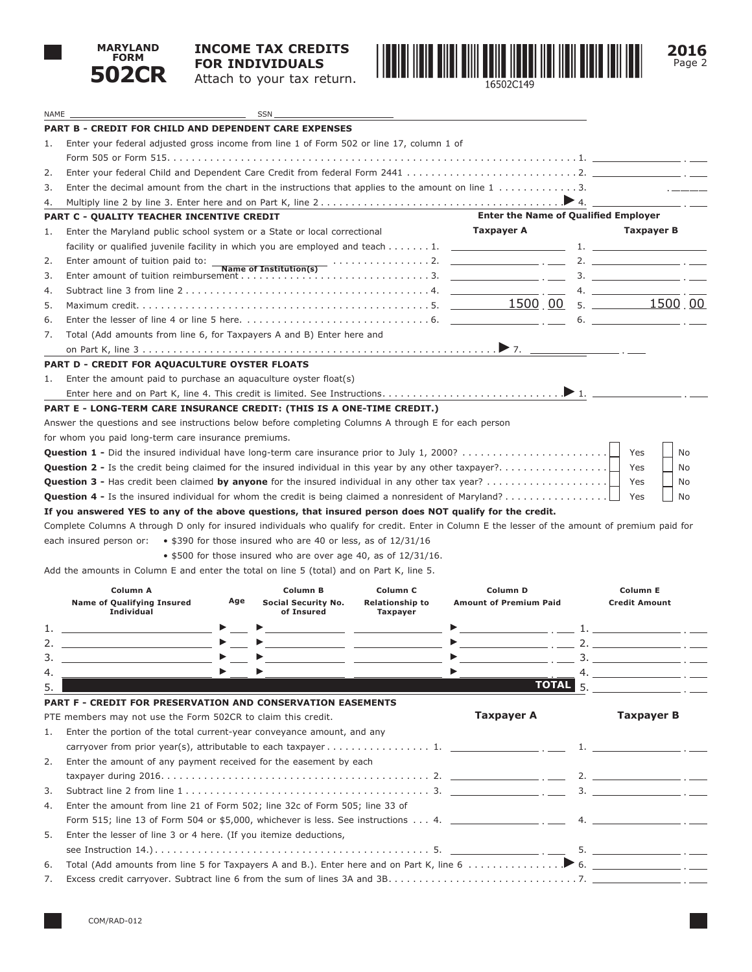

NAME SSN

## **INCOME TAX CREDITS FOR INDIVIDUALS** Attach to your tax return.



|    | <b>PART B - CREDIT FOR CHILD AND DEPENDENT CARE EXPENSES</b>                                                                                           |     |                                                                                                                       |                                                                                                                       |                                                                                                                   |                                                   |
|----|--------------------------------------------------------------------------------------------------------------------------------------------------------|-----|-----------------------------------------------------------------------------------------------------------------------|-----------------------------------------------------------------------------------------------------------------------|-------------------------------------------------------------------------------------------------------------------|---------------------------------------------------|
| 1. | Enter your federal adjusted gross income from line 1 of Form 502 or line 17, column 1 of                                                               |     |                                                                                                                       |                                                                                                                       |                                                                                                                   |                                                   |
|    |                                                                                                                                                        |     |                                                                                                                       |                                                                                                                       |                                                                                                                   |                                                   |
| 2. |                                                                                                                                                        |     |                                                                                                                       |                                                                                                                       |                                                                                                                   |                                                   |
| 3. | Enter the decimal amount from the chart in the instructions that applies to the amount on line $1, \ldots, \ldots, 3$ .                                |     |                                                                                                                       |                                                                                                                       |                                                                                                                   |                                                   |
| 4. |                                                                                                                                                        |     |                                                                                                                       |                                                                                                                       |                                                                                                                   |                                                   |
|    | <b>PART C - QUALITY TEACHER INCENTIVE CREDIT</b>                                                                                                       |     |                                                                                                                       |                                                                                                                       | <b>Enter the Name of Qualified Employer</b>                                                                       |                                                   |
| 1. | Enter the Maryland public school system or a State or local correctional                                                                               |     |                                                                                                                       |                                                                                                                       | Taxpayer A                                                                                                        | Taxpayer B                                        |
|    | facility or qualified juvenile facility in which you are employed and teach $\ldots \ldots \ldots$ 1.                                                  |     |                                                                                                                       |                                                                                                                       |                                                                                                                   | $\mathbf{1.}$ and $\mathbf{1.}$                   |
| 2. | Enter amount of tuition paid to: _                                                                                                                     |     |                                                                                                                       |                                                                                                                       | Name of Institution(s) contains the contract of the set of Institution(s) contains the contract of $\overline{C}$ |                                                   |
| 3. |                                                                                                                                                        |     |                                                                                                                       |                                                                                                                       |                                                                                                                   | $\overline{\mathbf{3.}}$ $\overline{\mathbf{1.}}$ |
| 4. |                                                                                                                                                        |     |                                                                                                                       |                                                                                                                       |                                                                                                                   | 4.                                                |
| 5. |                                                                                                                                                        |     |                                                                                                                       |                                                                                                                       |                                                                                                                   |                                                   |
| 6. |                                                                                                                                                        |     |                                                                                                                       |                                                                                                                       |                                                                                                                   | 6.                                                |
| 7. | Total (Add amounts from line 6, for Taxpayers A and B) Enter here and                                                                                  |     |                                                                                                                       |                                                                                                                       |                                                                                                                   |                                                   |
|    |                                                                                                                                                        |     |                                                                                                                       |                                                                                                                       |                                                                                                                   |                                                   |
|    | <b>PART D - CREDIT FOR AQUACULTURE OYSTER FLOATS</b>                                                                                                   |     |                                                                                                                       |                                                                                                                       |                                                                                                                   |                                                   |
| 1. | Enter the amount paid to purchase an aquaculture oyster float(s)                                                                                       |     |                                                                                                                       |                                                                                                                       |                                                                                                                   |                                                   |
|    |                                                                                                                                                        |     |                                                                                                                       |                                                                                                                       |                                                                                                                   |                                                   |
|    | PART E - LONG-TERM CARE INSURANCE CREDIT: (THIS IS A ONE-TIME CREDIT.)                                                                                 |     |                                                                                                                       |                                                                                                                       |                                                                                                                   |                                                   |
|    | Answer the questions and see instructions below before completing Columns A through E for each person                                                  |     |                                                                                                                       |                                                                                                                       |                                                                                                                   |                                                   |
|    | for whom you paid long-term care insurance premiums.                                                                                                   |     |                                                                                                                       |                                                                                                                       |                                                                                                                   |                                                   |
|    | <b>Question 1 -</b> Did the insured individual have long-term care insurance prior to July 1, 2000?                                                    |     |                                                                                                                       |                                                                                                                       |                                                                                                                   | Yes<br>No                                         |
|    | <b>Question 2</b> - Is the credit being claimed for the insured individual in this year by any other taxpayer?                                         |     |                                                                                                                       |                                                                                                                       |                                                                                                                   | Yes<br>No                                         |
|    | <b>Question 3 -</b> Has credit been claimed by anyone for the insured individual in any other tax year?                                                |     |                                                                                                                       |                                                                                                                       |                                                                                                                   | Yes<br>No                                         |
|    | <b>Question 4 -</b> Is the insured individual for whom the credit is being claimed a nonresident of Maryland?                                          |     |                                                                                                                       |                                                                                                                       |                                                                                                                   | Yes<br>No                                         |
|    | If you answered YES to any of the above questions, that insured person does NOT qualify for the credit.                                                |     |                                                                                                                       |                                                                                                                       |                                                                                                                   |                                                   |
|    | Complete Columns A through D only for insured individuals who qualify for credit. Enter in Column E the lesser of the amount of premium paid for       |     |                                                                                                                       |                                                                                                                       |                                                                                                                   |                                                   |
|    | each insured person or:                                                                                                                                |     | • \$390 for those insured who are 40 or less, as of 12/31/16                                                          |                                                                                                                       |                                                                                                                   |                                                   |
|    |                                                                                                                                                        |     | • \$500 for those insured who are over age 40, as of $12/31/16$ .                                                     |                                                                                                                       |                                                                                                                   |                                                   |
|    | Add the amounts in Column E and enter the total on line 5 (total) and on Part K, line 5.                                                               |     |                                                                                                                       |                                                                                                                       |                                                                                                                   |                                                   |
|    | Column A                                                                                                                                               |     | Column B                                                                                                              | Column <sub>C</sub>                                                                                                   | Column D                                                                                                          | <b>Column E</b>                                   |
|    | <b>Name of Qualifying Insured</b>                                                                                                                      | Age | Social Security No.                                                                                                   | <b>Relationship to</b>                                                                                                | <b>Amount of Premium Paid</b>                                                                                     | <b>Credit Amount</b>                              |
|    | <b>Individual</b>                                                                                                                                      |     | of Insured                                                                                                            | <b>Taxpayer</b>                                                                                                       |                                                                                                                   |                                                   |
| 1. | <u>and the state of the state of the state of the state</u>                                                                                            |     | <u> 1989 - Johann John Stone, markin amerikan bisa di sebagai pertama dan bagian dan bagian dan bagian dan bagian</u> |                                                                                                                       |                                                                                                                   |                                                   |
| 2. |                                                                                                                                                        |     |                                                                                                                       | <u> 1989 - Johann Harry Harry Harry Harry Harry Harry Harry Harry Harry Harry Harry Harry Harry Harry Harry Harry</u> |                                                                                                                   |                                                   |
| 3. |                                                                                                                                                        |     |                                                                                                                       |                                                                                                                       | $\blacktriangleright$                                                                                             |                                                   |
| 4. |                                                                                                                                                        |     |                                                                                                                       |                                                                                                                       |                                                                                                                   | 4.                                                |
| 5. |                                                                                                                                                        |     |                                                                                                                       |                                                                                                                       | TOTAL <sub>5</sub>                                                                                                |                                                   |
|    | PART F - CREDIT FOR PRESERVATION AND CONSERVATION EASEMENTS                                                                                            |     |                                                                                                                       |                                                                                                                       |                                                                                                                   |                                                   |
|    | PTE members may not use the Form 502CR to claim this credit.                                                                                           |     |                                                                                                                       |                                                                                                                       | <b>Taxpayer A</b>                                                                                                 | <b>Taxpayer B</b>                                 |
| 1. | Enter the portion of the total current-year conveyance amount, and any                                                                                 |     |                                                                                                                       |                                                                                                                       |                                                                                                                   |                                                   |
|    | carryover from prior year(s), attributable to each taxpayer 1. $\sqrt{2}$                                                                              |     |                                                                                                                       |                                                                                                                       |                                                                                                                   |                                                   |
| 2. | Enter the amount of any payment received for the easement by each                                                                                      |     |                                                                                                                       |                                                                                                                       |                                                                                                                   |                                                   |
|    |                                                                                                                                                        |     |                                                                                                                       |                                                                                                                       |                                                                                                                   |                                                   |
| 3. | Subtract line 2 from line $1, \ldots, \ldots, \ldots, \ldots, \ldots, \ldots, \ldots, \ldots, \ldots, 3.$ $\ldots$ $\ldots$ $\ldots$ $\ldots$ $\ldots$ |     |                                                                                                                       |                                                                                                                       |                                                                                                                   |                                                   |
| 4. |                                                                                                                                                        |     |                                                                                                                       |                                                                                                                       |                                                                                                                   |                                                   |
|    |                                                                                                                                                        |     | Enter the amount from line 21 of Form 502; line 32c of Form 505; line 33 of                                           |                                                                                                                       |                                                                                                                   |                                                   |

| 5. Enter the lesser of line 3 or 4 here. (If you itemize deductions, |
|----------------------------------------------------------------------|
|                                                                      |
|                                                                      |
|                                                                      |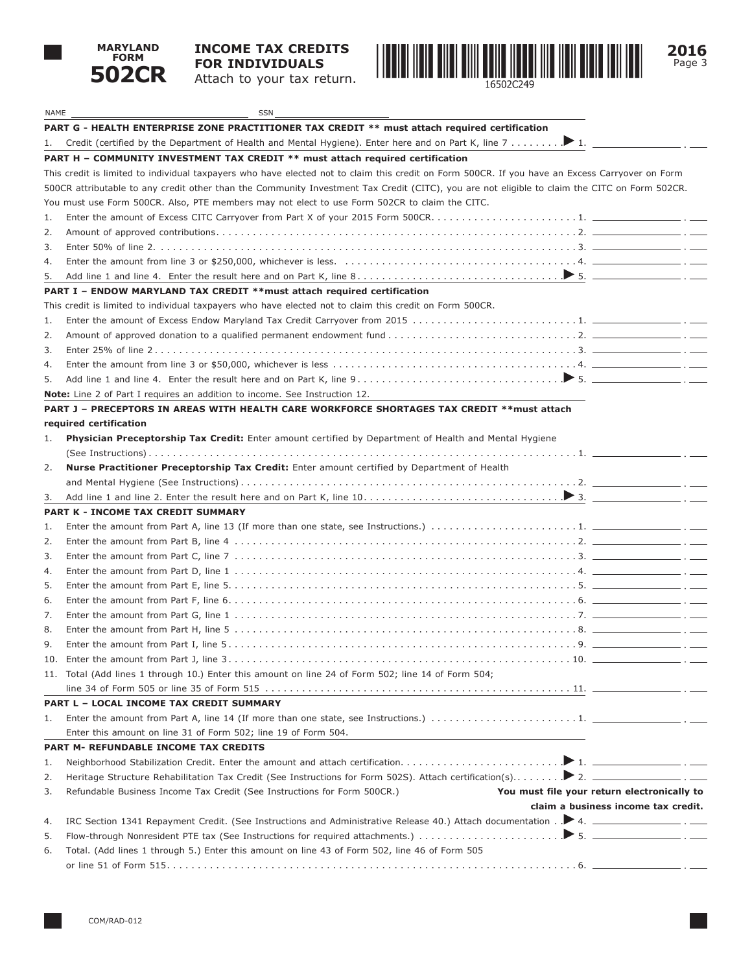

# **INCOME TAX CREDITS FOR INDIVIDUALS**

Attach to your tax return.



| NAME | <b>SSN</b>                                                                                                                                      |
|------|-------------------------------------------------------------------------------------------------------------------------------------------------|
|      | PART G - HEALTH ENTERPRISE ZONE PRACTITIONER TAX CREDIT ** must attach required certification                                                   |
| 1.   | Credit (certified by the Department of Health and Mental Hygiene). Enter here and on Part K, line 7 1.                                          |
|      | PART H - COMMUNITY INVESTMENT TAX CREDIT ** must attach required certification                                                                  |
|      | This credit is limited to individual taxpayers who have elected not to claim this credit on Form 500CR. If you have an Excess Carryover on Form |
|      | 500CR attributable to any credit other than the Community Investment Tax Credit (CITC), you are not eligible to claim the CITC on Form 502CR.   |
|      | You must use Form 500CR. Also, PTE members may not elect to use Form 502CR to claim the CITC.                                                   |
| 1.   |                                                                                                                                                 |
| 2.   |                                                                                                                                                 |
| 3.   |                                                                                                                                                 |
| 4.   |                                                                                                                                                 |
| 5.   |                                                                                                                                                 |
|      | PART I - ENDOW MARYLAND TAX CREDIT ** must attach required certification                                                                        |
|      | This credit is limited to individual taxpayers who have elected not to claim this credit on Form 500CR.                                         |
| 1.   |                                                                                                                                                 |
| 2.   |                                                                                                                                                 |
| 3.   |                                                                                                                                                 |
| 4.   |                                                                                                                                                 |
| 5.   |                                                                                                                                                 |
|      | <b>Note:</b> Line 2 of Part I requires an addition to income. See Instruction 12.                                                               |
|      | PART J – PRECEPTORS IN AREAS WITH HEALTH CARE WORKFORCE SHORTAGES TAX CREDIT **must attach                                                      |
|      | required certification                                                                                                                          |
| 1.   | Physician Preceptorship Tax Credit: Enter amount certified by Department of Health and Mental Hygiene                                           |
|      |                                                                                                                                                 |
| 2.   | Nurse Practitioner Preceptorship Tax Credit: Enter amount certified by Department of Health                                                     |
|      |                                                                                                                                                 |
| 3.   |                                                                                                                                                 |
|      | PART K - INCOME TAX CREDIT SUMMARY                                                                                                              |
| 1.   |                                                                                                                                                 |
| 2.   |                                                                                                                                                 |
| 3.   |                                                                                                                                                 |
| 4.   |                                                                                                                                                 |
| 5.   |                                                                                                                                                 |
| 6.   |                                                                                                                                                 |
| 7.   |                                                                                                                                                 |
| 8.   |                                                                                                                                                 |
| 9.   |                                                                                                                                                 |
| 10.  |                                                                                                                                                 |
|      | 11. Total (Add lines 1 through 10.) Enter this amount on line 24 of Form 502; line 14 of Form 504;                                              |
|      |                                                                                                                                                 |
|      | PART L - LOCAL INCOME TAX CREDIT SUMMARY                                                                                                        |
| 1.   |                                                                                                                                                 |
|      | Enter this amount on line 31 of Form 502; line 19 of Form 504.                                                                                  |
|      | PART M- REFUNDABLE INCOME TAX CREDITS                                                                                                           |
| 1.   |                                                                                                                                                 |
| 2.   |                                                                                                                                                 |
| 3.   | Refundable Business Income Tax Credit (See Instructions for Form 500CR.)<br>You must file your return electronically to                         |
|      | claim a business income tax credit.                                                                                                             |
| 4.   | IRC Section 1341 Repayment Credit. (See Instructions and Administrative Release 40.) Attach documentation . $\blacktriangleright$ 4.            |
| 5.   |                                                                                                                                                 |
| 6.   | Total. (Add lines 1 through 5.) Enter this amount on line 43 of Form 502, line 46 of Form 505                                                   |
|      |                                                                                                                                                 |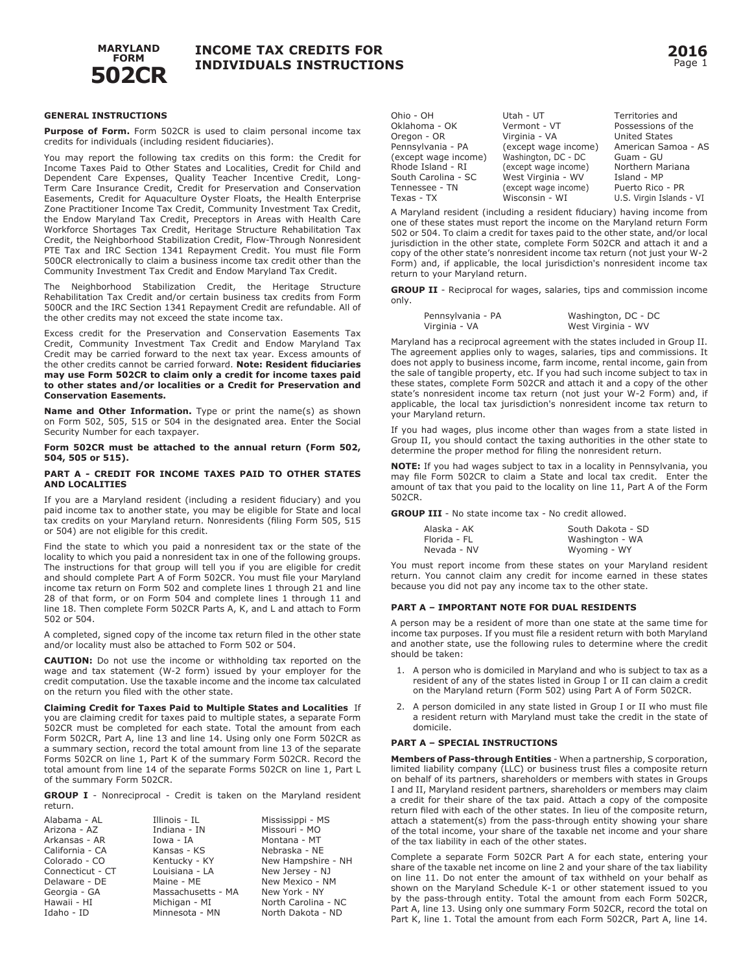

#### **GENERAL INSTRUCTIONS**

**Purpose of Form.** Form 502CR is used to claim personal income tax credits for individuals (including resident fiduciaries).

You may report the following tax credits on this form: the Credit for Income Taxes Paid to Other States and Localities, Credit for Child and Dependent Care Expenses, Quality Teacher Incentive Credit, Long-Term Care Insurance Credit, Credit for Preservation and Conservation Easements, Credit for Aquaculture Oyster Floats, the Health Enterprise Zone Practitioner Income Tax Credit, Community Investment Tax Credit, the Endow Maryland Tax Credit, Preceptors in Areas with Health Care Workforce Shortages Tax Credit, Heritage Structure Rehabilitation Tax Credit, the Neighborhood Stabilization Credit, Flow-Through Nonresident PTE Tax and IRC Section 1341 Repayment Credit. You must file Form 500CR electronically to claim a business income tax credit other than the Community Investment Tax Credit and Endow Maryland Tax Credit.

The Neighborhood Stabilization Credit, the Heritage Structure Rehabilitation Tax Credit and/or certain business tax credits from Form 500CR and the IRC Section 1341 Repayment Credit are refundable. All of the other credits may not exceed the state income tax.

Excess credit for the Preservation and Conservation Easements Tax Credit, Community Investment Tax Credit and Endow Maryland Tax Credit may be carried forward to the next tax year. Excess amounts of the other credits cannot be carried forward. **Note: Resident fiduciaries may use Form 502CR to claim only a credit for income taxes paid to other states and/or localities or a Credit for Preservation and Conservation Easements.** 

**Name and Other Information.** Type or print the name(s) as shown on Form 502, 505, 515 or 504 in the designated area. Enter the Social Security Number for each taxpayer.

#### **Form 502CR must be attached to the annual return (Form 502, 504, 505 or 515).**

#### **PART A - CREDIT FOR INCOME TAXES PAID TO OTHER STATES AND LOCALITIES**

If you are a Maryland resident (including a resident fiduciary) and you paid income tax to another state, you may be eligible for State and local tax credits on your Maryland return. Nonresidents (filing Form 505, 515 or 504) are not eligible for this credit.

Find the state to which you paid a nonresident tax or the state of the locality to which you paid a nonresident tax in one of the following groups. The instructions for that group will tell you if you are eligible for credit and should complete Part A of Form 502CR. You must file your Maryland income tax return on Form 502 and complete lines 1 through 21 and line 28 of that form, or on Form 504 and complete lines 1 through 11 and line 18. Then complete Form 502CR Parts A, K, and L and attach to Form 502 or 504.

A completed, signed copy of the income tax return filed in the other state and/or locality must also be attached to Form 502 or 504.

**CAUTION:** Do not use the income or withholding tax reported on the wage and tax statement (W-2 form) issued by your employer for the credit computation. Use the taxable income and the income tax calculated on the return you filed with the other state.

**Claiming Credit for Taxes Paid to Multiple States and Localities** If you are claiming credit for taxes paid to multiple states, a separate Form 502CR must be completed for each state. Total the amount from each Form 502CR, Part A, line 13 and line 14. Using only one Form 502CR as a summary section, record the total amount from line 13 of the separate Forms 502CR on line 1, Part K of the summary Form 502CR. Record the total amount from line 14 of the separate Forms 502CR on line 1, Part L of the summary Form 502CR.

**GROUP I** - Nonreciprocal - Credit is taken on the Maryland resident return.

| Alabama - AL     | Illinois - IL      | Mississippi - MS    |
|------------------|--------------------|---------------------|
| Arizona - AZ     | Indiana - IN       | Missouri - MO       |
| Arkansas - AR    | Iowa - IA          | Montana - MT        |
| California - CA  | Kansas - KS        | Nebraska - NE       |
| Colorado - CO    | Kentucky - KY      | New Hampshire - NH  |
| Connecticut - CT | Louisiana - LA     | New Jersey - NJ     |
| Delaware - DE    | Maine - ME         | New Mexico - NM     |
| Georgia - GA     | Massachusetts - MA | New York - NY       |
| Hawaii - HI      | Michigan - MI      | North Carolina - NC |
| Idaho - ID       | Minnesota - MN     | North Dakota - ND   |

| Ohio - OH            | Utah - UT            | Territories and          |
|----------------------|----------------------|--------------------------|
| Oklahoma - OK        | Vermont - VT         | Possessions of the       |
| Oregon - OR          | Virginia - VA        | <b>United States</b>     |
| Pennsylvania - PA    | (except wage income) | American Samoa - AS      |
| (except wage income) | Washington, DC - DC  | Guam - GU                |
| Rhode Island - RI    | (except wage income) | Northern Mariana         |
| South Carolina - SC  | West Virginia - WV   | Island - MP              |
| Tennessee - TN       | (except wage income) | Puerto Rico - PR         |
| Texas - TX           | Wisconsin - WI       | U.S. Virgin Islands - VI |

A Maryland resident (including a resident fiduciary) having income from one of these states must report the income on the Maryland return Form 502 or 504. To claim a credit for taxes paid to the other state, and/or local jurisdiction in the other state, complete Form 502CR and attach it and a copy of the other state's nonresident income tax return (not just your W-2 Form) and, if applicable, the local jurisdiction's nonresident income tax return to your Maryland return.

**GROUP II** - Reciprocal for wages, salaries, tips and commission income only.

| Pennsylvania - PA | Washington, DC - DC |
|-------------------|---------------------|
| Virginia - VA     | West Virginia - WV  |

Maryland has a reciprocal agreement with the states included in Group II. The agreement applies only to wages, salaries, tips and commissions. It does not apply to business income, farm income, rental income, gain from the sale of tangible property, etc. If you had such income subject to tax in these states, complete Form 502CR and attach it and a copy of the other state's nonresident income tax return (not just your W-2 Form) and, if applicable, the local tax jurisdiction's nonresident income tax return to your Maryland return.

If you had wages, plus income other than wages from a state listed in Group II, you should contact the taxing authorities in the other state to determine the proper method for filing the nonresident return.

**NOTE:** If you had wages subject to tax in a locality in Pennsylvania, you may file Form 502CR to claim a State and local tax credit. Enter the amount of tax that you paid to the locality on line 11, Part A of the Form 502CR.

**GROUP III** - No state income tax - No credit allowed.

| Alaska - AK  | South Dakota - SD |
|--------------|-------------------|
| Florida - FL | Washington - WA   |
| Nevada - NV  | Wyoming - WY      |

You must report income from these states on your Maryland resident return. You cannot claim any credit for income earned in these states because you did not pay any income tax to the other state.

#### **PART A – IMPORTANT NOTE FOR DUAL RESIDENTS**

A person may be a resident of more than one state at the same time for income tax purposes. If you must file a resident return with both Maryland and another state, use the following rules to determine where the credit should be taken:

- 1. A person who is domiciled in Maryland and who is subject to tax as a resident of any of the states listed in Group I or II can claim a credit on the Maryland return (Form 502) using Part A of Form 502CR.
- 2. A person domiciled in any state listed in Group I or II who must file a resident return with Maryland must take the credit in the state of domicile.

#### **PART A – SPECIAL INSTRUCTIONS**

**Members of Pass-through Entities** - When a partnership, S corporation, limited liability company (LLC) or business trust files a composite return on behalf of its partners, shareholders or members with states in Groups I and II, Maryland resident partners, shareholders or members may claim a credit for their share of the tax paid. Attach a copy of the composite return filed with each of the other states. In lieu of the composite return, attach a statement(s) from the pass-through entity showing your share of the total income, your share of the taxable net income and your share of the tax liability in each of the other states.

Complete a separate Form 502CR Part A for each state, entering your share of the taxable net income on line 2 and your share of the tax liability on line 11. Do not enter the amount of tax withheld on your behalf as shown on the Maryland Schedule K-1 or other statement issued to you by the pass-through entity. Total the amount from each Form 502CR, Part A, line 13. Using only one summary Form 502CR, record the total on Part K, line 1. Total the amount from each Form 502CR, Part A, line 14.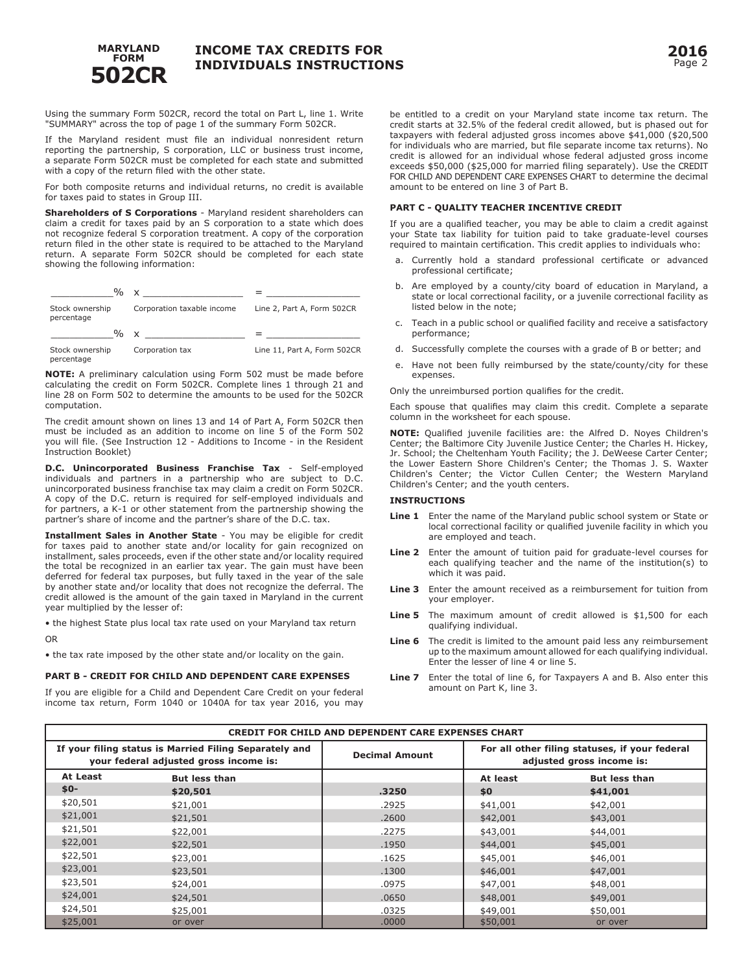

Using the summary Form 502CR, record the total on Part L, line 1. Write "SUMMARY" across the top of page 1 of the summary Form 502CR.

If the Maryland resident must file an individual nonresident return reporting the partnership, S corporation, LLC or business trust income, a separate Form 502CR must be completed for each state and submitted with a copy of the return filed with the other state.

For both composite returns and individual returns, no credit is available for taxes paid to states in Group III.

**Shareholders of S Corporations** - Maryland resident shareholders can claim a credit for taxes paid by an S corporation to a state which does not recognize federal S corporation treatment. A copy of the corporation return filed in the other state is required to be attached to the Maryland return. A separate Form 502CR should be completed for each state showing the following information:



**NOTE:** A preliminary calculation using Form 502 must be made before calculating the credit on Form 502CR. Complete lines 1 through 21 and line 28 on Form 502 to determine the amounts to be used for the 502CR computation.

The credit amount shown on lines 13 and 14 of Part A, Form 502CR then must be included as an addition to income on line 5 of the Form 502 you will file. (See Instruction 12 - Additions to Income - in the Resident Instruction Booklet)

**D.C. Unincorporated Business Franchise Tax** - Self-employed individuals and partners in a partnership who are subject to D.C. unincorporated business franchise tax may claim a credit on Form 502CR. A copy of the D.C. return is required for self-employed individuals and for partners, a K-1 or other statement from the partnership showing the partner's share of income and the partner's share of the D.C. tax.

**Installment Sales in Another State** - You may be eligible for credit for taxes paid to another state and/or locality for gain recognized on installment, sales proceeds, even if the other state and/or locality required the total be recognized in an earlier tax year. The gain must have been deferred for federal tax purposes, but fully taxed in the year of the sale by another state and/or locality that does not recognize the deferral. The credit allowed is the amount of the gain taxed in Maryland in the current year multiplied by the lesser of:

• the highest State plus local tax rate used on your Maryland tax return OR

• the tax rate imposed by the other state and/or locality on the gain.

## **PART B - CREDIT FOR CHILD AND DEPENDENT CARE EXPENSES**

If you are eligible for a Child and Dependent Care Credit on your federal income tax return, Form 1040 or 1040A for tax year 2016, you may

be entitled to a credit on your Maryland state income tax return. The credit starts at 32.5% of the federal credit allowed, but is phased out for taxpayers with federal adjusted gross incomes above \$41,000 (\$20,500 for individuals who are married, but file separate income tax returns). No credit is allowed for an individual whose federal adjusted gross income exceeds \$50,000 (\$25,000 for married filing separately). Use the CREDIT FOR CHILD AND DEPENDENT CARE EXPENSES CHART to determine the decimal amount to be entered on line 3 of Part B.

## **PART C - QUALITY TEACHER INCENTIVE CREDIT**

If you are a qualified teacher, you may be able to claim a credit against your State tax liability for tuition paid to take graduate-level courses required to maintain certification. This credit applies to individuals who:

- a. Currently hold a standard professional certificate or advanced professional certificate;
- b. Are employed by a county/city board of education in Maryland, a state or local correctional facility, or a juvenile correctional facility as listed below in the note;
- c. Teach in a public school or qualified facility and receive a satisfactory performance;
- d. Successfully complete the courses with a grade of B or better; and
- e. Have not been fully reimbursed by the state/county/city for these expenses.

Only the unreimbursed portion qualifies for the credit.

Each spouse that qualifies may claim this credit. Complete a separate column in the worksheet for each spouse.

**NOTE:** Qualified juvenile facilities are: the Alfred D. Noyes Children's Center; the Baltimore City Juvenile Justice Center; the Charles H. Hickey, Jr. School; the Cheltenham Youth Facility; the J. DeWeese Carter Center; the Lower Eastern Shore Children's Center; the Thomas J. S. Waxter Children's Center; the Victor Cullen Center; the Western Maryland Children's Center; and the youth centers.

## **INSTRUCTIONS**

- **Line 1** Enter the name of the Maryland public school system or State or local correctional facility or qualified juvenile facility in which you are employed and teach.
- **Line 2** Enter the amount of tuition paid for graduate-level courses for each qualifying teacher and the name of the institution(s) to which it was paid.
- **Line 3** Enter the amount received as a reimbursement for tuition from your employer.
- **Line 5** The maximum amount of credit allowed is \$1,500 for each qualifying individual.
- **Line 6** The credit is limited to the amount paid less any reimbursement up to the maximum amount allowed for each qualifying individual. Enter the lesser of line 4 or line 5.
- **Line 7** Enter the total of line 6, for Taxpayers A and B. Also enter this amount on Part K, line 3.

| <b>CREDIT FOR CHILD AND DEPENDENT CARE EXPENSES CHART</b>                                        |                      |                       |          |                                                                             |
|--------------------------------------------------------------------------------------------------|----------------------|-----------------------|----------|-----------------------------------------------------------------------------|
| If your filing status is Married Filing Separately and<br>your federal adjusted gross income is: |                      | <b>Decimal Amount</b> |          | For all other filing statuses, if your federal<br>adjusted gross income is: |
| At Least                                                                                         | <b>But less than</b> |                       | At least | <b>But less than</b>                                                        |
| $$0-$                                                                                            | \$20,501             | .3250                 | \$0      | \$41,001                                                                    |
| \$20,501                                                                                         | \$21,001             | .2925                 | \$41,001 | \$42,001                                                                    |
| \$21,001                                                                                         | \$21,501             | .2600                 | \$42,001 | \$43,001                                                                    |
| \$21,501                                                                                         | \$22,001             | .2275                 | \$43,001 | \$44,001                                                                    |
| \$22,001                                                                                         | \$22,501             | .1950                 | \$44,001 | \$45,001                                                                    |
| \$22,501                                                                                         | \$23,001             | .1625                 | \$45,001 | \$46,001                                                                    |
| \$23,001                                                                                         | \$23,501             | .1300                 | \$46,001 | \$47,001                                                                    |
| \$23,501                                                                                         | \$24,001             | .0975                 | \$47,001 | \$48,001                                                                    |
| \$24,001                                                                                         | \$24,501             | .0650                 | \$48,001 | \$49,001                                                                    |
| \$24,501                                                                                         | \$25,001             | .0325                 | \$49,001 | \$50,001                                                                    |
| \$25,001                                                                                         | or over              | .0000                 | \$50,001 | or over                                                                     |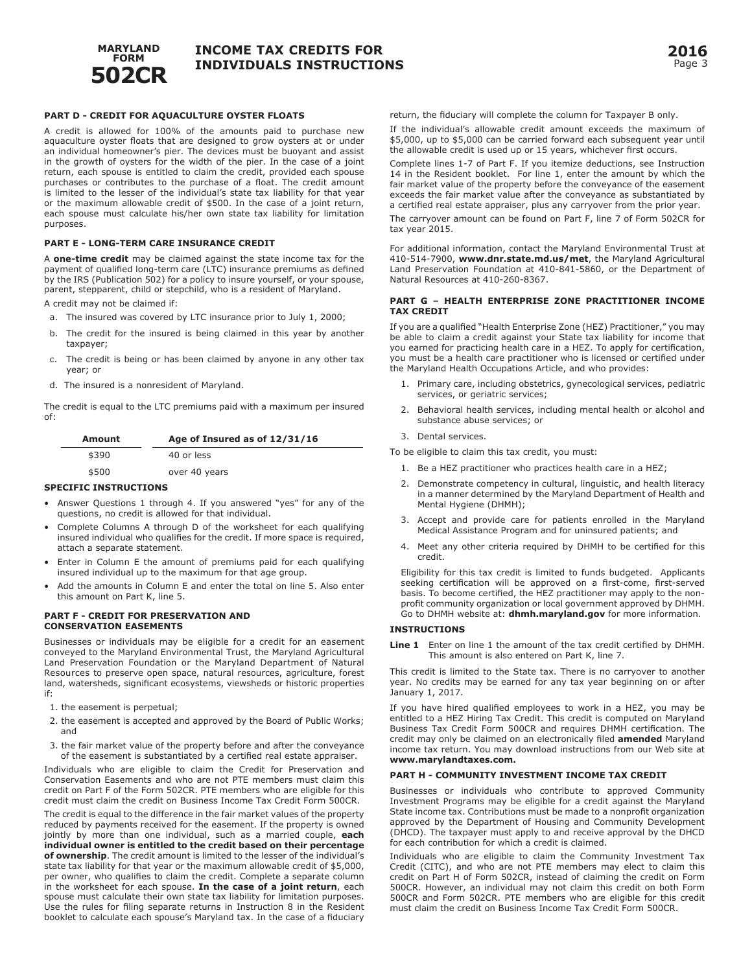

## **PART D - CREDIT FOR AQUACULTURE OYSTER FLOATS**

A credit is allowed for 100% of the amounts paid to purchase new aquaculture oyster floats that are designed to grow oysters at or under an individual homeowner's pier. The devices must be buoyant and assist in the growth of oysters for the width of the pier. In the case of a joint return, each spouse is entitled to claim the credit, provided each spouse purchases or contributes to the purchase of a float. The credit amount is limited to the lesser of the individual's state tax liability for that year or the maximum allowable credit of \$500. In the case of a joint return, each spouse must calculate his/her own state tax liability for limitation purposes.

#### **PART E - LONG-TERM CARE INSURANCE CREDIT**

A **one-time credit** may be claimed against the state income tax for the payment of qualified long-term care (LTC) insurance premiums as defined by the IRS (Publication 502) for a policy to insure yourself, or your spouse, parent, stepparent, child or stepchild, who is a resident of Maryland.

A credit may not be claimed if:

- a. The insured was covered by LTC insurance prior to July 1, 2000;
- b. The credit for the insured is being claimed in this year by another taxpayer;
- c. The credit is being or has been claimed by anyone in any other tax year; or
- d. The insured is a nonresident of Maryland.

The credit is equal to the LTC premiums paid with a maximum per insured of:

| Amount | Age of Insured as of 12/31/16 |  |
|--------|-------------------------------|--|
| \$390  | 40 or less                    |  |
| \$500  | over 40 years                 |  |

### **SPECIFIC INSTRUCTIONS**

- Answer Questions 1 through 4. If you answered "yes" for any of the questions, no credit is allowed for that individual.
- Complete Columns A through D of the worksheet for each qualifying insured individual who qualifies for the credit. If more space is required, attach a separate statement.
- Enter in Column E the amount of premiums paid for each qualifying insured individual up to the maximum for that age group.
- Add the amounts in Column E and enter the total on line 5. Also enter this amount on Part K, line 5.

## **PART F - Credit for Preservation and Conservation Easements**

Businesses or individuals may be eligible for a credit for an easement conveyed to the Maryland Environmental Trust, the Maryland Agricultural Land Preservation Foundation or the Maryland Department of Natural Resources to preserve open space, natural resources, agriculture, forest land, watersheds, significant ecosystems, viewsheds or historic properties if:

- 1. the easement is perpetual;
- 2. the easement is accepted and approved by the Board of Public Works; and
- 3. the fair market value of the property before and after the conveyance of the easement is substantiated by a certified real estate appraiser.

Individuals who are eligible to claim the Credit for Preservation and Conservation Easements and who are not PTE members must claim this credit on Part F of the Form 502CR. PTE members who are eligible for this credit must claim the credit on Business Income Tax Credit Form 500CR.

The credit is equal to the difference in the fair market values of the property reduced by payments received for the easement. If the property is owned jointly by more than one individual, such as a married couple, **each individual owner is entitled to the credit based on their percentage of ownership**. The credit amount is limited to the lesser of the individual's state tax liability for that year or the maximum allowable credit of \$5,000, per owner, who qualifies to claim the credit. Complete a separate column in the worksheet for each spouse. **In the case of a joint return**, each spouse must calculate their own state tax liability for limitation purposes. Use the rules for filing separate returns in Instruction 8 in the Resident booklet to calculate each spouse's Maryland tax. In the case of a fiduciary return, the fiduciary will complete the column for Taxpayer B only.

If the individual's allowable credit amount exceeds the maximum of \$5,000, up to \$5,000 can be carried forward each subsequent year until the allowable credit is used up or 15 years, whichever first occurs.

Complete lines 1-7 of Part F. If you itemize deductions, see Instruction 14 in the Resident booklet. For line 1, enter the amount by which the fair market value of the property before the conveyance of the easement exceeds the fair market value after the conveyance as substantiated by a certified real estate appraiser, plus any carryover from the prior year.

The carryover amount can be found on Part F, line 7 of Form 502CR for tax year 2015.

For additional information, contact the Maryland Environmental Trust at 410-514-7900, **www.dnr.state.md.us/met**, the Maryland Agricultural Land Preservation Foundation at 410-841-5860, or the Department of Natural Resources at 410-260-8367.

#### **PART G – HEALTH ENTERPRISE ZONE PRACTITIONER INCOME TAX CREDIT**

If you are a qualified "Health Enterprise Zone (HEZ) Practitioner," you may be able to claim a credit against your State tax liability for income that you earned for practicing health care in a HEZ. To apply for certification, you must be a health care practitioner who is licensed or certified under the Maryland Health Occupations Article, and who provides:

- 1. Primary care, including obstetrics, gynecological services, pediatric services, or geriatric services;
- 2. Behavioral health services, including mental health or alcohol and substance abuse services; or
- 3. Dental services.

To be eligible to claim this tax credit, you must:

- 1. Be a HEZ practitioner who practices health care in a HEZ;
- 2. Demonstrate competency in cultural, linguistic, and health literacy in a manner determined by the Maryland Department of Health and Mental Hygiene (DHMH);
- 3. Accept and provide care for patients enrolled in the Maryland Medical Assistance Program and for uninsured patients; and
- 4. Meet any other criteria required by DHMH to be certified for this credit.

Eligibility for this tax credit is limited to funds budgeted. Applicants seeking certification will be approved on a first-come, first-served basis. To become certified, the HEZ practitioner may apply to the nonprofit community organization or local government approved by DHMH. Go to DHMH website at: **dhmh.maryland.gov** for more information.

## **INSTRUCTIONS**

Line 1 Enter on line 1 the amount of the tax credit certified by DHMH. This amount is also entered on Part K, line 7.

This credit is limited to the State tax. There is no carryover to another year. No credits may be earned for any tax year beginning on or after January 1, 2017.

If you have hired qualified employees to work in a HEZ, you may be entitled to a HEZ Hiring Tax Credit. This credit is computed on Maryland Business Tax Credit Form 500CR and requires DHMH certification. The credit may only be claimed on an electronically filed **amended** Maryland income tax return. You may download instructions from our Web site at **www.marylandtaxes.com.**

## **PART H - COMMUNITY INVESTMENT INCOME TAX CREDIT**

Businesses or individuals who contribute to approved Community Investment Programs may be eligible for a credit against the Maryland State income tax. Contributions must be made to a nonprofit organization approved by the Department of Housing and Community Development (DHCD). The taxpayer must apply to and receive approval by the DHCD for each contribution for which a credit is claimed.

Individuals who are eligible to claim the Community Investment Tax Credit (CITC), and who are not PTE members may elect to claim this credit on Part H of Form 502CR, instead of claiming the credit on Form 500CR. However, an individual may not claim this credit on both Form 500CR and Form 502CR. PTE members who are eligible for this credit must claim the credit on Business Income Tax Credit Form 500CR.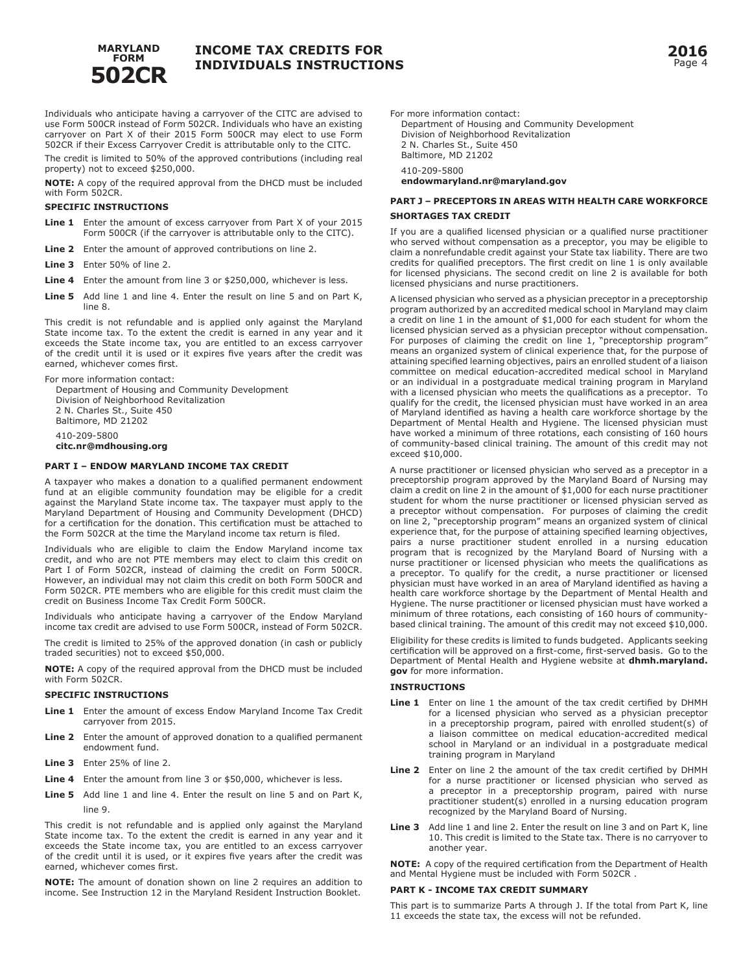

Individuals who anticipate having a carryover of the CITC are advised to use Form 500CR instead of Form 502CR. Individuals who have an existing carryover on Part X of their 2015 Form 500CR may elect to use Form 502CR if their Excess Carryover Credit is attributable only to the CITC.

The credit is limited to 50% of the approved contributions (including real property) not to exceed \$250,000.

**NOTE:** A copy of the required approval from the DHCD must be included with Form 502CR.

## **Specific Instructions**

- **Line 1** Enter the amount of excess carryover from Part X of your 2015 Form 500CR (if the carryover is attributable only to the CITC).
- **Line 2** Enter the amount of approved contributions on line 2.
- **Line 3** Enter 50% of line 2.

**Line 4** Enter the amount from line 3 or \$250,000, whichever is less.

Line 5 Add line 1 and line 4. Enter the result on line 5 and on Part K, line 8.

This credit is not refundable and is applied only against the Maryland State income tax. To the extent the credit is earned in any year and it exceeds the State income tax, you are entitled to an excess carryover of the credit until it is used or it expires five years after the credit was earned, whichever comes first.

For more information contact: Department of Housing and Community Development Division of Neighborhood Revitalization 2 N. Charles St., Suite 450 Baltimore, MD 21202 410-209-5800 **citc.nr@mdhousing.org** 

## **PART I – ENDOW MARYLAND INCOME TAX CREDIT**

A taxpayer who makes a donation to a qualified permanent endowment fund at an eligible community foundation may be eligible for a credit against the Maryland State income tax. The taxpayer must apply to the Maryland Department of Housing and Community Development (DHCD) for a certification for the donation. This certification must be attached to the Form 502CR at the time the Maryland income tax return is filed.

Individuals who are eligible to claim the Endow Maryland income tax credit, and who are not PTE members may elect to claim this credit on Part I of Form 502CR, instead of claiming the credit on Form 500CR. However, an individual may not claim this credit on both Form 500CR and Form 502CR. PTE members who are eligible for this credit must claim the credit on Business Income Tax Credit Form 500CR.

Individuals who anticipate having a carryover of the Endow Maryland income tax credit are advised to use Form 500CR, instead of Form 502CR.

The credit is limited to 25% of the approved donation (in cash or publicly traded securities) not to exceed \$50,000.

**NOTE:** A copy of the required approval from the DHCD must be included with Form 502CR.

#### **SPECIFIC INSTRUCTIONS**

- Line 1 Enter the amount of excess Endow Maryland Income Tax Credit carryover from 2015.
- **Line 2** Enter the amount of approved donation to a qualified permanent endowment fund.
- **Line 3** Enter 25% of line 2.
- Line 4 Enter the amount from line 3 or \$50,000, whichever is less.
- Line 5 Add line 1 and line 4. Enter the result on line 5 and on Part K, line 9.

This credit is not refundable and is applied only against the Maryland State income tax. To the extent the credit is earned in any year and it exceeds the State income tax, you are entitled to an excess carryover of the credit until it is used, or it expires five years after the credit was earned, whichever comes first.

**NOTE:** The amount of donation shown on line 2 requires an addition to income. See Instruction 12 in the Maryland Resident Instruction Booklet.

For more information contact:

Department of Housing and Community Development Division of Neighborhood Revitalization 2 N. Charles St., Suite 450 Baltimore, MD 21202 410-209-5800 **endowmaryland.nr@maryland.gov**

## **PART J – Preceptors in Areas with Health Care Workforce Shortages Tax Credit**

If you are a qualified licensed physician or a qualified nurse practitioner who served without compensation as a preceptor, you may be eligible to claim a nonrefundable credit against your State tax liability. There are two credits for qualified preceptors. The first credit on line 1 is only available for licensed physicians. The second credit on line 2 is available for both licensed physicians and nurse practitioners.

A licensed physician who served as a physician preceptor in a preceptorship program authorized by an accredited medical school in Maryland may claim a credit on line 1 in the amount of \$1,000 for each student for whom the licensed physician served as a physician preceptor without compensation. For purposes of claiming the credit on line 1, "preceptorship program" means an organized system of clinical experience that, for the purpose of attaining specified learning objectives, pairs an enrolled student of a liaison committee on medical education-accredited medical school in Maryland or an individual in a postgraduate medical training program in Maryland with a licensed physician who meets the qualifications as a preceptor. To qualify for the credit, the licensed physician must have worked in an area of Maryland identified as having a health care workforce shortage by the Department of Mental Health and Hygiene. The licensed physician must have worked a minimum of three rotations, each consisting of 160 hours of community-based clinical training. The amount of this credit may not exceed \$10,000.

A nurse practitioner or licensed physician who served as a preceptor in a preceptorship program approved by the Maryland Board of Nursing may claim a credit on line 2 in the amount of \$1,000 for each nurse practitioner student for whom the nurse practitioner or licensed physician served as a preceptor without compensation. For purposes of claiming the credit on line 2, "preceptorship program" means an organized system of clinical experience that, for the purpose of attaining specified learning objectives, pairs a nurse practitioner student enrolled in a nursing education program that is recognized by the Maryland Board of Nursing with a nurse practitioner or licensed physician who meets the qualifications as a preceptor. To qualify for the credit, a nurse practitioner or licensed physician must have worked in an area of Maryland identified as having a health care workforce shortage by the Department of Mental Health and Hygiene. The nurse practitioner or licensed physician must have worked a minimum of three rotations, each consisting of 160 hours of communitybased clinical training. The amount of this credit may not exceed \$10,000.

Eligibility for these credits is limited to funds budgeted. Applicants seeking certification will be approved on a first-come, first-served basis. Go to the Department of Mental Health and Hygiene website at **dhmh.maryland. gov** for more information.

## **Instructions**

- Line 1 Enter on line 1 the amount of the tax credit certified by DHMH for a licensed physician who served as a physician preceptor in a preceptorship program, paired with enrolled student(s) of a liaison committee on medical education-accredited medical school in Maryland or an individual in a postgraduate medical training program in Maryland
- **Line 2** Enter on line 2 the amount of the tax credit certified by DHMH for a nurse practitioner or licensed physician who served as a preceptor in a preceptorship program, paired with nurse practitioner student(s) enrolled in a nursing education program recognized by the Maryland Board of Nursing.
- **Line 3** Add line 1 and line 2. Enter the result on line 3 and on Part K, line 10. This credit is limited to the State tax. There is no carryover to another year.

**NOTE:** A copy of the required certification from the Department of Health and Mental Hygiene must be included with Form 502CR .

#### **PART K - INCOME TAX CREDIT SUMMARY**

This part is to summarize Parts A through J. If the total from Part K, line 11 exceeds the state tax, the excess will not be refunded.